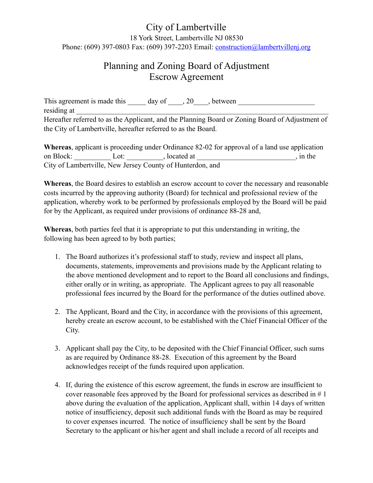#### City of Lambertville 18 York Street, Lambertville NJ 08530 Phone: (609) 397-0803 Fax: (609) 397-2203 Email: [construction@lambertvillenj.org](mailto:construction@lambertvillenj.org)

#### Planning and Zoning Board of Adjustment Escrow Agreement

This agreement is made this  $\qquad \qquad$  day of  $\qquad$ , 20  $\qquad$ , between residing at Hereafter referred to as the Applicant, and the Planning Board or Zoning Board of Adjustment of the City of Lambertville, hereafter referred to as the Board.

**Whereas**, applicant is proceeding under Ordinance 82-02 for approval of a land use application on Block: \_\_\_\_\_\_\_\_\_\_ Lot: \_\_\_\_\_\_\_\_\_\_, located at \_\_\_\_\_\_\_\_\_\_\_\_\_\_\_\_\_\_\_\_\_\_\_\_\_\_\_, in the City of Lambertville, New Jersey County of Hunterdon, and

**Whereas**, the Board desires to establish an escrow account to cover the necessary and reasonable costs incurred by the approving authority (Board) for technical and professional review of the application, whereby work to be performed by professionals employed by the Board will be paid for by the Applicant, as required under provisions of ordinance 88-28 and,

**Whereas**, both parties feel that it is appropriate to put this understanding in writing, the following has been agreed to by both parties;

- 1. The Board authorizes it's professional staff to study, review and inspect all plans, documents, statements, improvements and provisions made by the Applicant relating to the above mentioned development and to report to the Board all conclusions and findings, either orally or in writing, as appropriate. The Applicant agrees to pay all reasonable professional fees incurred by the Board for the performance of the duties outlined above.
- 2. The Applicant, Board and the City, in accordance with the provisions of this agreement, hereby create an escrow account, to be established with the Chief Financial Officer of the City.
- 3. Applicant shall pay the City, to be deposited with the Chief Financial Officer, such sums as are required by Ordinance 88-28. Execution of this agreement by the Board acknowledges receipt of the funds required upon application.
- 4. If, during the existence of this escrow agreement, the funds in escrow are insufficient to cover reasonable fees approved by the Board for professional services as described in # 1 above during the evaluation of the application, Applicant shall, within 14 days of written notice of insufficiency, deposit such additional funds with the Board as may be required to cover expenses incurred. The notice of insufficiency shall be sent by the Board Secretary to the applicant or his/her agent and shall include a record of all receipts and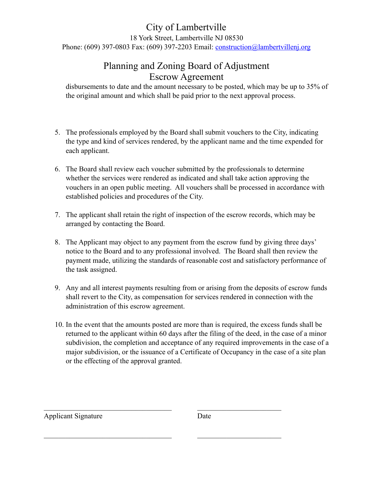# City of Lambertville

18 York Street, Lambertville NJ 08530

Phone: (609) 397-0803 Fax: (609) 397-2203 Email: [construction@lambertvillenj.org](mailto:construction@lambertvillenj.org)

## Planning and Zoning Board of Adjustment Escrow Agreement

disbursements to date and the amount necessary to be posted, which may be up to 35% of the original amount and which shall be paid prior to the next approval process.

- 5. The professionals employed by the Board shall submit vouchers to the City, indicating the type and kind of services rendered, by the applicant name and the time expended for each applicant.
- 6. The Board shall review each voucher submitted by the professionals to determine whether the services were rendered as indicated and shall take action approving the vouchers in an open public meeting. All vouchers shall be processed in accordance with established policies and procedures of the City.
- 7. The applicant shall retain the right of inspection of the escrow records, which may be arranged by contacting the Board.
- 8. The Applicant may object to any payment from the escrow fund by giving three days' notice to the Board and to any professional involved. The Board shall then review the payment made, utilizing the standards of reasonable cost and satisfactory performance of the task assigned.
- 9. Any and all interest payments resulting from or arising from the deposits of escrow funds shall revert to the City, as compensation for services rendered in connection with the administration of this escrow agreement.
- 10. In the event that the amounts posted are more than is required, the excess funds shall be returned to the applicant within 60 days after the filing of the deed, in the case of a minor subdivision, the completion and acceptance of any required improvements in the case of a major subdivision, or the issuance of a Certificate of Occupancy in the case of a site plan or the effecting of the approval granted.

 $\mathcal{L}_\text{max}$  , and the contribution of the contribution of  $\mathcal{L}_\text{max}$  , and the contribution of  $\mathcal{L}_\text{max}$ 

 $\mathcal{L}_\text{max}$  , and the contribution of the contribution of  $\mathcal{L}_\text{max}$  , and the contribution of  $\mathcal{L}_\text{max}$ 

Applicant Signature Date